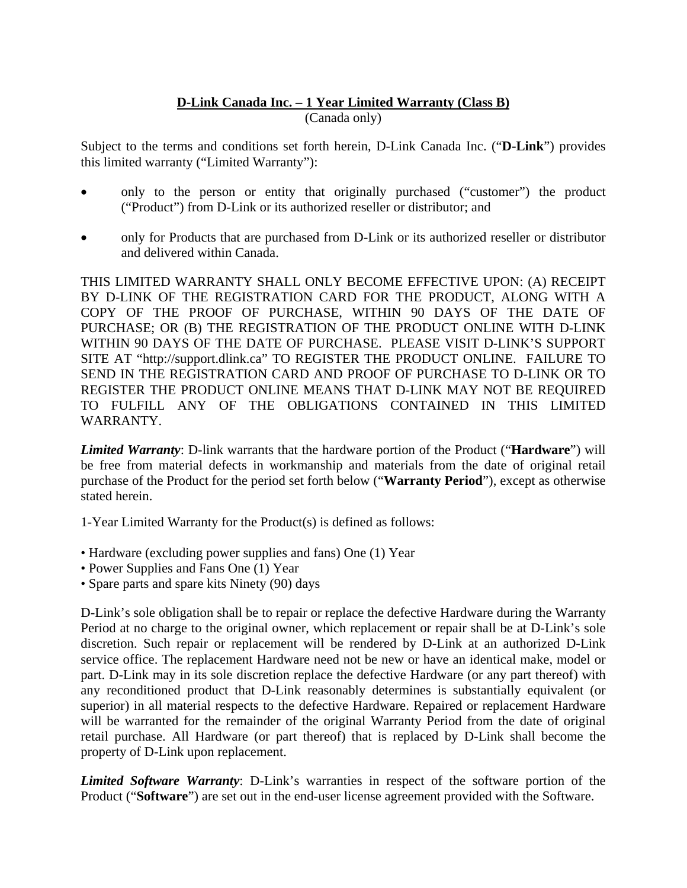## **D-Link Canada Inc. – 1 Year Limited Warranty (Class B)** (Canada only)

Subject to the terms and conditions set forth herein, D-Link Canada Inc. ("**D-Link**") provides this limited warranty ("Limited Warranty"):

- only to the person or entity that originally purchased ("customer") the product ("Product") from D-Link or its authorized reseller or distributor; and
- only for Products that are purchased from D-Link or its authorized reseller or distributor and delivered within Canada.

THIS LIMITED WARRANTY SHALL ONLY BECOME EFFECTIVE UPON: (A) RECEIPT BY D-LINK OF THE REGISTRATION CARD FOR THE PRODUCT, ALONG WITH A COPY OF THE PROOF OF PURCHASE, WITHIN 90 DAYS OF THE DATE OF PURCHASE; OR (B) THE REGISTRATION OF THE PRODUCT ONLINE WITH D-LINK WITHIN 90 DAYS OF THE DATE OF PURCHASE. PLEASE VISIT D-LINK'S SUPPORT SITE AT "http://support.dlink.ca" TO REGISTER THE PRODUCT ONLINE. FAILURE TO SEND IN THE REGISTRATION CARD AND PROOF OF PURCHASE TO D-LINK OR TO REGISTER THE PRODUCT ONLINE MEANS THAT D-LINK MAY NOT BE REQUIRED TO FULFILL ANY OF THE OBLIGATIONS CONTAINED IN THIS LIMITED WARRANTY.

*Limited Warranty*: D-link warrants that the hardware portion of the Product ("**Hardware**") will be free from material defects in workmanship and materials from the date of original retail purchase of the Product for the period set forth below ("**Warranty Period**"), except as otherwise stated herein.

1-Year Limited Warranty for the Product(s) is defined as follows:

- Hardware (excluding power supplies and fans) One (1) Year
- Power Supplies and Fans One (1) Year
- Spare parts and spare kits Ninety (90) days

D-Link's sole obligation shall be to repair or replace the defective Hardware during the Warranty Period at no charge to the original owner, which replacement or repair shall be at D-Link's sole discretion. Such repair or replacement will be rendered by D-Link at an authorized D-Link service office. The replacement Hardware need not be new or have an identical make, model or part. D-Link may in its sole discretion replace the defective Hardware (or any part thereof) with any reconditioned product that D-Link reasonably determines is substantially equivalent (or superior) in all material respects to the defective Hardware. Repaired or replacement Hardware will be warranted for the remainder of the original Warranty Period from the date of original retail purchase. All Hardware (or part thereof) that is replaced by D-Link shall become the property of D-Link upon replacement.

*Limited Software Warranty*: D-Link's warranties in respect of the software portion of the Product ("**Software**") are set out in the end-user license agreement provided with the Software.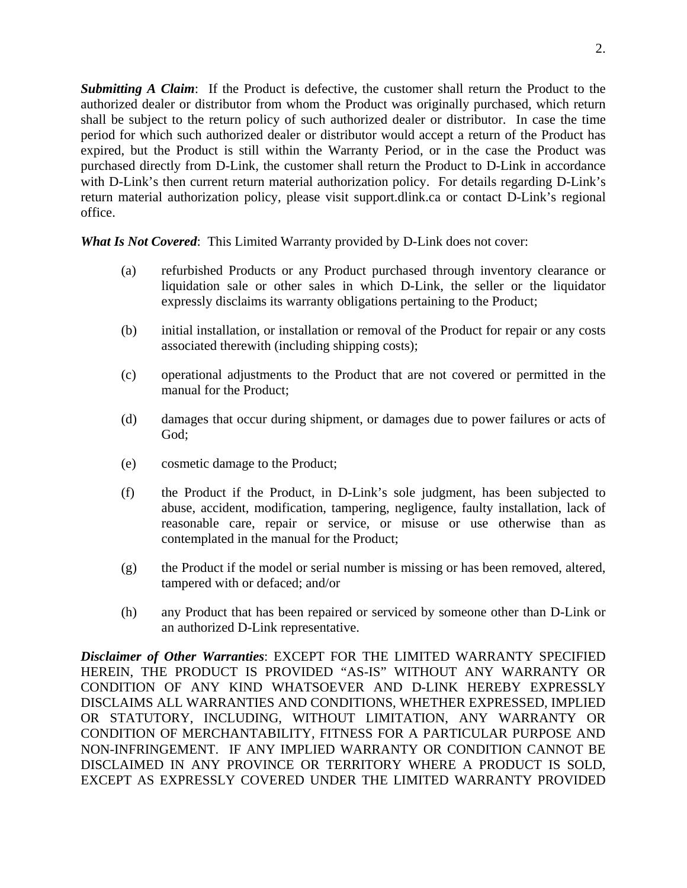*Submitting A Claim*: If the Product is defective, the customer shall return the Product to the authorized dealer or distributor from whom the Product was originally purchased, which return shall be subject to the return policy of such authorized dealer or distributor. In case the time period for which such authorized dealer or distributor would accept a return of the Product has expired, but the Product is still within the Warranty Period, or in the case the Product was purchased directly from D-Link, the customer shall return the Product to D-Link in accordance with D-Link's then current return material authorization policy. For details regarding D-Link's return material authorization policy, please visit support.dlink.ca or contact D-Link's regional office.

*What Is Not Covered*: This Limited Warranty provided by D-Link does not cover:

- (a) refurbished Products or any Product purchased through inventory clearance or liquidation sale or other sales in which D-Link, the seller or the liquidator expressly disclaims its warranty obligations pertaining to the Product;
- (b) initial installation, or installation or removal of the Product for repair or any costs associated therewith (including shipping costs);
- (c) operational adjustments to the Product that are not covered or permitted in the manual for the Product;
- (d) damages that occur during shipment, or damages due to power failures or acts of God;
- (e) cosmetic damage to the Product;
- (f) the Product if the Product, in D-Link's sole judgment, has been subjected to abuse, accident, modification, tampering, negligence, faulty installation, lack of reasonable care, repair or service, or misuse or use otherwise than as contemplated in the manual for the Product;
- (g) the Product if the model or serial number is missing or has been removed, altered, tampered with or defaced; and/or
- (h) any Product that has been repaired or serviced by someone other than D-Link or an authorized D-Link representative.

*Disclaimer of Other Warranties*: EXCEPT FOR THE LIMITED WARRANTY SPECIFIED HEREIN, THE PRODUCT IS PROVIDED "AS-IS" WITHOUT ANY WARRANTY OR CONDITION OF ANY KIND WHATSOEVER AND D-LINK HEREBY EXPRESSLY DISCLAIMS ALL WARRANTIES AND CONDITIONS, WHETHER EXPRESSED, IMPLIED OR STATUTORY, INCLUDING, WITHOUT LIMITATION, ANY WARRANTY OR CONDITION OF MERCHANTABILITY, FITNESS FOR A PARTICULAR PURPOSE AND NON-INFRINGEMENT. IF ANY IMPLIED WARRANTY OR CONDITION CANNOT BE DISCLAIMED IN ANY PROVINCE OR TERRITORY WHERE A PRODUCT IS SOLD, EXCEPT AS EXPRESSLY COVERED UNDER THE LIMITED WARRANTY PROVIDED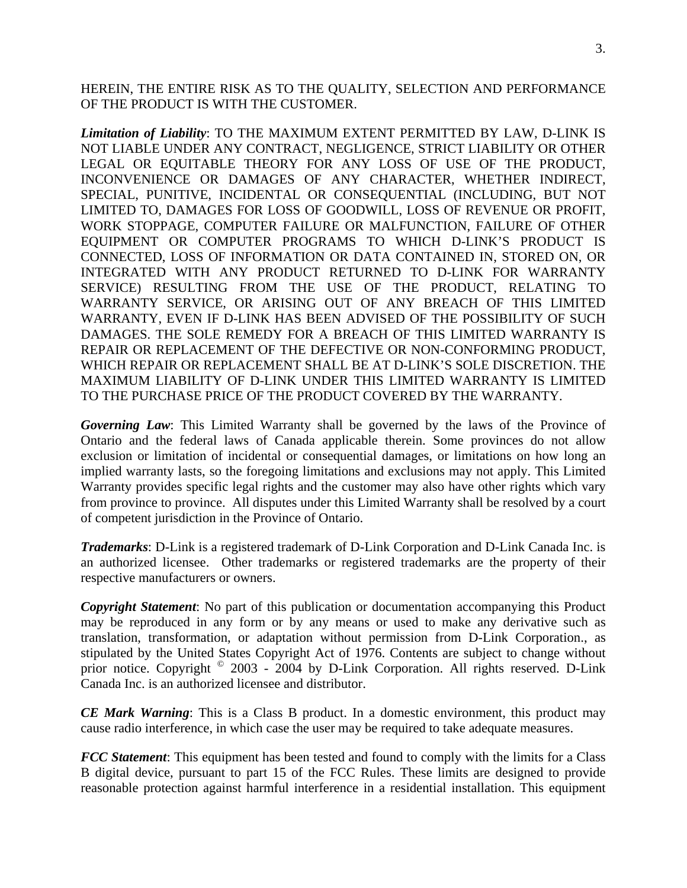HEREIN, THE ENTIRE RISK AS TO THE QUALITY, SELECTION AND PERFORMANCE OF THE PRODUCT IS WITH THE CUSTOMER.

*Limitation of Liability*: TO THE MAXIMUM EXTENT PERMITTED BY LAW, D-LINK IS NOT LIABLE UNDER ANY CONTRACT, NEGLIGENCE, STRICT LIABILITY OR OTHER LEGAL OR EQUITABLE THEORY FOR ANY LOSS OF USE OF THE PRODUCT, INCONVENIENCE OR DAMAGES OF ANY CHARACTER, WHETHER INDIRECT, SPECIAL, PUNITIVE, INCIDENTAL OR CONSEQUENTIAL (INCLUDING, BUT NOT LIMITED TO, DAMAGES FOR LOSS OF GOODWILL, LOSS OF REVENUE OR PROFIT, WORK STOPPAGE, COMPUTER FAILURE OR MALFUNCTION, FAILURE OF OTHER EQUIPMENT OR COMPUTER PROGRAMS TO WHICH D-LINK'S PRODUCT IS CONNECTED, LOSS OF INFORMATION OR DATA CONTAINED IN, STORED ON, OR INTEGRATED WITH ANY PRODUCT RETURNED TO D-LINK FOR WARRANTY SERVICE) RESULTING FROM THE USE OF THE PRODUCT, RELATING TO WARRANTY SERVICE, OR ARISING OUT OF ANY BREACH OF THIS LIMITED WARRANTY, EVEN IF D-LINK HAS BEEN ADVISED OF THE POSSIBILITY OF SUCH DAMAGES. THE SOLE REMEDY FOR A BREACH OF THIS LIMITED WARRANTY IS REPAIR OR REPLACEMENT OF THE DEFECTIVE OR NON-CONFORMING PRODUCT, WHICH REPAIR OR REPLACEMENT SHALL BE AT D-LINK'S SOLE DISCRETION. THE MAXIMUM LIABILITY OF D-LINK UNDER THIS LIMITED WARRANTY IS LIMITED TO THE PURCHASE PRICE OF THE PRODUCT COVERED BY THE WARRANTY.

*Governing Law*: This Limited Warranty shall be governed by the laws of the Province of Ontario and the federal laws of Canada applicable therein. Some provinces do not allow exclusion or limitation of incidental or consequential damages, or limitations on how long an implied warranty lasts, so the foregoing limitations and exclusions may not apply. This Limited Warranty provides specific legal rights and the customer may also have other rights which vary from province to province. All disputes under this Limited Warranty shall be resolved by a court of competent jurisdiction in the Province of Ontario.

*Trademarks*: D-Link is a registered trademark of D-Link Corporation and D-Link Canada Inc. is an authorized licensee. Other trademarks or registered trademarks are the property of their respective manufacturers or owners.

*Copyright Statement*: No part of this publication or documentation accompanying this Product may be reproduced in any form or by any means or used to make any derivative such as translation, transformation, or adaptation without permission from D-Link Corporation., as stipulated by the United States Copyright Act of 1976. Contents are subject to change without prior notice. Copyright <sup>©</sup> 2003 - 2004 by D-Link Corporation. All rights reserved. D-Link Canada Inc. is an authorized licensee and distributor.

*CE Mark Warning*: This is a Class B product. In a domestic environment, this product may cause radio interference, in which case the user may be required to take adequate measures.

*FCC Statement*: This equipment has been tested and found to comply with the limits for a Class B digital device, pursuant to part 15 of the FCC Rules. These limits are designed to provide reasonable protection against harmful interference in a residential installation. This equipment